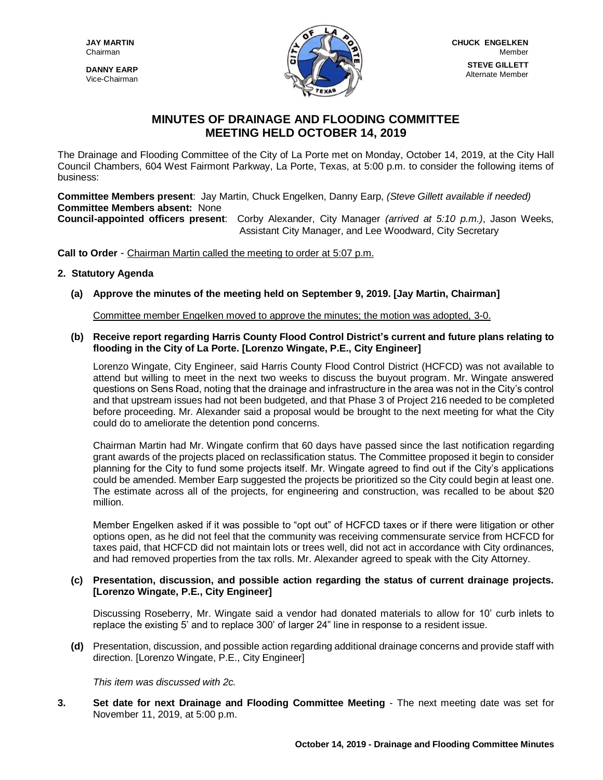**DANNY EARP** Vice-Chairman



## **MINUTES OF DRAINAGE AND FLOODING COMMITTEE MEETING HELD OCTOBER 14, 2019**

The Drainage and Flooding Committee of the City of La Porte met on Monday, October 14, 2019, at the City Hall Council Chambers, 604 West Fairmont Parkway, La Porte, Texas, at 5:00 p.m. to consider the following items of business:

**Committee Members present**: Jay Martin, Chuck Engelken, Danny Earp, *(Steve Gillett available if needed)* **Committee Members absent:** None

**Council-appointed officers present**: Corby Alexander, City Manager *(arrived at 5:10 p.m.)*, Jason Weeks, Assistant City Manager, and Lee Woodward, City Secretary

**Call to Order** - Chairman Martin called the meeting to order at 5:07 p.m.

## **2. Statutory Agenda**

**(a) Approve the minutes of the meeting held on September 9, 2019. [Jay Martin, Chairman]**

Committee member Engelken moved to approve the minutes; the motion was adopted, 3-0.

**(b) Receive report regarding Harris County Flood Control District's current and future plans relating to flooding in the City of La Porte. [Lorenzo Wingate, P.E., City Engineer]**

Lorenzo Wingate, City Engineer, said Harris County Flood Control District (HCFCD) was not available to attend but willing to meet in the next two weeks to discuss the buyout program. Mr. Wingate answered questions on Sens Road, noting that the drainage and infrastructure in the area was not in the City's control and that upstream issues had not been budgeted, and that Phase 3 of Project 216 needed to be completed before proceeding. Mr. Alexander said a proposal would be brought to the next meeting for what the City could do to ameliorate the detention pond concerns.

Chairman Martin had Mr. Wingate confirm that 60 days have passed since the last notification regarding grant awards of the projects placed on reclassification status. The Committee proposed it begin to consider planning for the City to fund some projects itself. Mr. Wingate agreed to find out if the City's applications could be amended. Member Earp suggested the projects be prioritized so the City could begin at least one. The estimate across all of the projects, for engineering and construction, was recalled to be about \$20 million.

Member Engelken asked if it was possible to "opt out" of HCFCD taxes or if there were litigation or other options open, as he did not feel that the community was receiving commensurate service from HCFCD for taxes paid, that HCFCD did not maintain lots or trees well, did not act in accordance with City ordinances, and had removed properties from the tax rolls. Mr. Alexander agreed to speak with the City Attorney.

## **(c) Presentation, discussion, and possible action regarding the status of current drainage projects. [Lorenzo Wingate, P.E., City Engineer]**

Discussing Roseberry, Mr. Wingate said a vendor had donated materials to allow for 10' curb inlets to replace the existing 5' and to replace 300' of larger 24" line in response to a resident issue.

**(d)** Presentation, discussion, and possible action regarding additional drainage concerns and provide staff with direction. [Lorenzo Wingate, P.E., City Engineer]

*This item was discussed with 2c.*

**3. Set date for next Drainage and Flooding Committee Meeting** - The next meeting date was set for November 11, 2019, at 5:00 p.m.